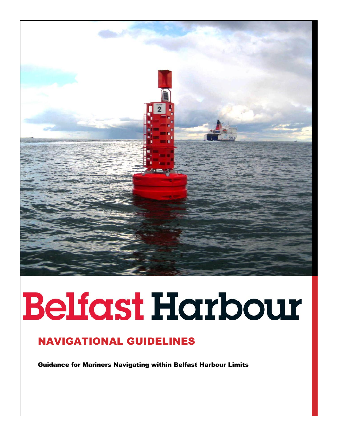

# **Belfast Harbour**

# NAVIGATIONAL GUIDELINES

Guidance for Mariners Navigating within Belfast Harbour Limits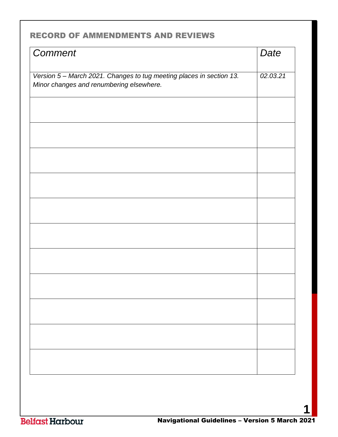# <span id="page-1-0"></span>RECORD OF AMMENDMENTS AND REVIEWS

| Date     |
|----------|
| 02.03.21 |
|          |
|          |
|          |
|          |
|          |
|          |
|          |
|          |
|          |
|          |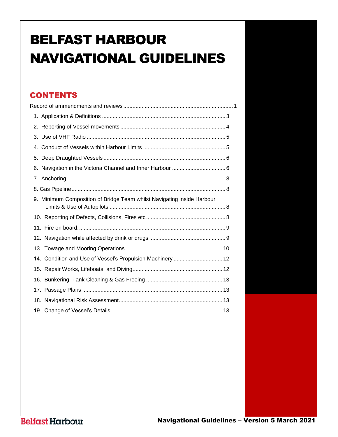# BELFAST HARBOUR NAVIGATIONAL GUIDELINES

# **CONTENTS**

| 9. Minimum Composition of Bridge Team whilst Navigating inside Harbour |
|------------------------------------------------------------------------|
|                                                                        |
|                                                                        |
|                                                                        |
|                                                                        |
| 14. Condition and Use of Vessel's Propulsion Machinery  12             |
|                                                                        |
|                                                                        |
|                                                                        |
|                                                                        |
|                                                                        |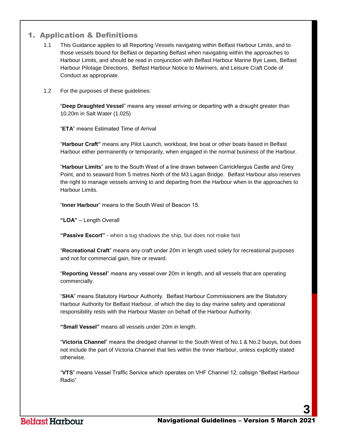# <span id="page-3-0"></span>1. Application & Definitions

- 1.1 This Guidance applies to all Reporting Vessels navigating within Belfast Harbour Limits, and to those vessels bound for Belfast or departing Belfast when navigating within the approaches to Harbour Limits, and should be read in conjunction with Belfast Harbour Marine Bye Laws, Belfast Harbour Pilotage Directions, Belfast Harbour Notice to Mariners, and Leisure Craft Code of Conduct as appropriate.
- 1.2 For the purposes of these guidelines:

"**Deep Draughted Vessel**" means any vessel arriving or departing with a draught greater than 10.20m in Salt Water (1.025)

"**ETA**" means Estimated Time of Arrival

"**Harbour Craft"** means any Pilot Launch, workboat, line boat or other boats based in Belfast Harbour either permanently or temporarily, when engaged in the normal business of the Harbour.

"**Harbour Limits**" are to the South West of a line drawn between Carrickfergus Castle and Grey Point, and to seaward from 5 metres North of the M3 Lagan Bridge. Belfast Harbour also reserves the right to manage vessels arriving to and departing from the Harbour when in the approaches to Harbour Limits.

"**Inner Harbour**" means to the South West of Beacon 15.

**"LOA"** – Length Overall

**"Passive Escort"** - when a tug shadows the ship, but does not make fast

"**Recreational Craft**" means any craft under 20m in length used solely for recreational purposes and not for commercial gain, hire or reward.

"**Reporting Vessel**" means any vessel over 20m in length, and all vessels that are operating commercially.

"**SHA**" means Statutory Harbour Authority. Belfast Harbour Commissioners are the Statutory Harbour Authority for Belfast Harbour, of which the day to day marine safety and operational responsibility rests with the Harbour Master on behalf of the Harbour Authority.

**"Small Vessel"** means all vessels under 20m in length.

"**Victoria Channel**" means the dredged channel to the South West of No.1 & No.2 buoys, but does not include the part of Victoria Channel that lies within the Inner Harbour, unless explicitly stated otherwise.

"**VTS**" means Vessel Traffic Service which operates on VHF Channel 12, callsign "Belfast Harbour Radio"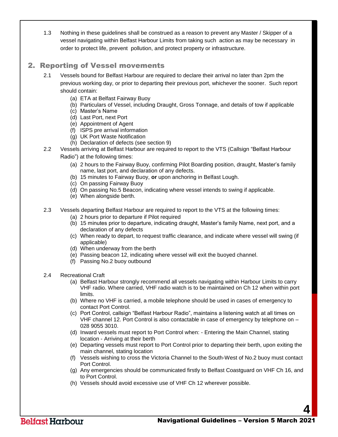1.3 Nothing in these guidelines shall be construed as a reason to prevent any Master / Skipper of a vessel navigating within Belfast Harbour Limits from taking such action as may be necessary in order to protect life, prevent pollution, and protect property or infrastructure.

# <span id="page-4-0"></span>2. Reporting of Vessel movements

- 2.1 Vessels bound for Belfast Harbour are required to declare their arrival no later than 2pm the previous working day, or prior to departing their previous port, whichever the sooner. Such report should contain:
	- (a) ETA at Belfast Fairway Buoy
	- (b) Particulars of Vessel, including Draught, Gross Tonnage, and details of tow if applicable
	- (c) Master's Name
	- (d) Last Port, next Port
	- (e) Appointment of Agent
	- (f) ISPS pre arrival information
	- (g) UK Port Waste Notification
	- (h) Declaration of defects (see section 9)
- 2.2 Vessels arriving at Belfast Harbour are required to report to the VTS (Callsign "Belfast Harbour Radio") at the following times:
	- (a) 2 hours to the Fairway Buoy, confirming Pilot Boarding position, draught, Master's family name, last port, and declaration of any defects.
	- (b) 15 minutes to Fairway Buoy, **or** upon anchoring in Belfast Lough.
	- (c) On passing Fairway Buoy
	- (d) On passing No.5 Beacon, indicating where vessel intends to swing if applicable.
	- (e) When alongside berth.
- 2.3 Vessels departing Belfast Harbour are required to report to the VTS at the following times:
	- (a) 2 hours prior to departure if Pilot required
	- (b) 15 minutes prior to departure, indicating draught, Master's family Name, next port, and a declaration of any defects
	- (c) When ready to depart, to request traffic clearance, and indicate where vessel will swing (if applicable)
	- (d) When underway from the berth
	- (e) Passing beacon 12, indicating where vessel will exit the buoyed channel.
	- (f) Passing No.2 buoy outbound
- 2.4 Recreational Craft
	- (a) Belfast Harbour strongly recommend all vessels navigating within Harbour Limits to carry VHF radio. Where carried, VHF radio watch is to be maintained on Ch 12 when within port limits.
	- (b) Where no VHF is carried, a mobile telephone should be used in cases of emergency to contact Port Control.
	- (c) Port Control, callsign "Belfast Harbour Radio", maintains a listening watch at all times on VHF channel 12. Port Control is also contactable in case of emergency by telephone on – 028 9055 3010.
	- (d) Inward vessels must report to Port Control when: Entering the Main Channel, stating location - Arriving at their berth
	- (e) Departing vessels must report to Port Control prior to departing their berth, upon exiting the main channel, stating location
	- (f) Vessels wishing to cross the Victoria Channel to the South-West of No.2 buoy must contact Port Control.
	- (g) Any emergencies should be communicated firstly to Belfast Coastguard on VHF Ch 16, and to Port Control.
	- (h) Vessels should avoid excessive use of VHF Ch 12 wherever possible.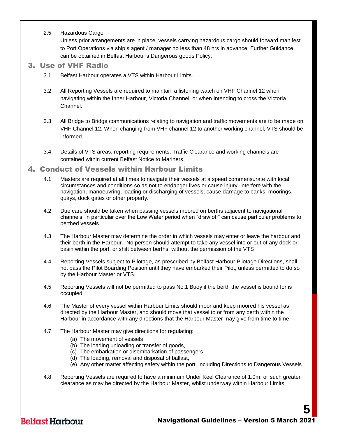2.5 Hazardous Cargo

Unless prior arrangements are in place, vessels carrying hazardous cargo should forward manifest to Port Operations via ship's agent / manager no less than 48 hrs in advance. Further Guidance can be obtained in Belfast Harbour's Dangerous goods Policy.

#### <span id="page-5-0"></span>3. Use of VHF Radio

- 3.1 Belfast Harbour operates a VTS within Harbour Limits.
- 3.2 All Reporting Vessels are required to maintain a listening watch on VHF Channel 12 when navigating within the Inner Harbour, Victoria Channel, or when intending to cross the Victoria Channel.
- 3.3 All Bridge to Bridge communications relating to navigation and traffic movements are to be made on VHF Channel 12. When changing from VHF channel 12 to another working channel, VTS should be informed.
- 3.4 Details of VTS areas, reporting requirements, Traffic Clearance and working channels are contained within current Belfast Notice to Mariners.

#### <span id="page-5-1"></span>4. Conduct of Vessels within Harbour Limits

- 4.1 Masters are required at all times to navigate their vessels at a speed commensurate with local circumstances and conditions so as not to endanger lives or cause injury; interfere with the navigation, manoeuvring, loading or discharging of vessels; cause damage to banks, moorings, quays, dock gates or other property.
- 4.2 Due care should be taken when passing vessels moored on berths adjacent to navigational channels, in particular over the Low Water period when "draw off" can cause particular problems to berthed vessels.
- 4.3 The Harbour Master may determine the order in which vessels may enter or leave the harbour and their berth in the Harbour. No person should attempt to take any vessel into or out of any dock or basin within the port, or shift between berths, without the permission of the VTS
- 4.4 Reporting Vessels subject to Pilotage, as prescribed by Belfast Harbour Pilotage Directions, shall not pass the Pilot Boarding Position until they have embarked their Pilot, unless permitted to do so by the Harbour Master or VTS.
- 4.5 Reporting Vessels will not be permitted to pass No.1 Buoy if the berth the vessel is bound for is occupied.
- 4.6 The Master of every vessel within Harbour Limits should moor and keep moored his vessel as directed by the Harbour Master, and should move that vessel to or from any berth within the Harbour in accordance with any directions that the Harbour Master may give from time to time.
- 4.7 The Harbour Master may give directions for regulating:
	- (a) The movement of vessels
	- (b) The loading unloading or transfer of goods,
	- (c) The embarkation or disembarkation of passengers,
	- (d) The loading, removal and disposal of ballast,
	- (e) Any other matter affecting safety within the port, including Directions to Dangerous Vessels.
- <span id="page-5-2"></span>4.8 Reporting Vessels are required to have a minimum Under Keel Clearance of 1.0m, or such greater clearance as may be directed by the Harbour Master, whilst underway within Harbour Limits.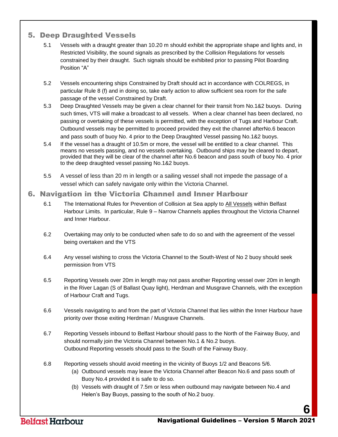# 5. Deep Draughted Vessels

- 5.1 Vessels with a draught greater than 10.20 m should exhibit the appropriate shape and lights and, in Restricted Visibility, the sound signals as prescribed by the Collision Regulations for vessels constrained by their draught. Such signals should be exhibited prior to passing Pilot Boarding Position "A"
- 5.2 Vessels encountering ships Constrained by Draft should act in accordance with COLREGS, in particular Rule 8 (f) and in doing so, take early action to allow sufficient sea room for the safe passage of the vessel Constrained by Draft.
- 5.3 Deep Draughted Vessels may be given a clear channel for their transit from No.1&2 buoys. During such times, VTS will make a broadcast to all vessels. When a clear channel has been declared, no passing or overtaking of these vessels is permitted, with the exception of Tugs and Harbour Craft. Outbound vessels may be permitted to proceed provided they exit the channel afterNo.6 beacon and pass south of buoy No. 4 prior to the Deep Draughted Vessel passing No.1&2 buoys.
- 5.4 If the vessel has a draught of 10.5m or more, the vessel will be entitled to a clear channel. This means no vessels passing, and no vessels overtaking. Outbound ships may be cleared to depart, provided that they will be clear of the channel after No.6 beacon and pass south of buoy No. 4 prior to the deep draughted vessel passing No.1&2 buoys.
- 5.5 A vessel of less than 20 m in length or a sailing vessel shall not impede the passage of a vessel which can safely navigate only within the Victoria Channel.

#### <span id="page-6-0"></span>6. Navigation in the Victoria Channel and Inner Harbour

- 6.1 The International Rules for Prevention of Collision at Sea apply to All Vessels within Belfast Harbour Limits. In particular, Rule 9 – Narrow Channels applies throughout the Victoria Channel and Inner Harbour.
- 6.2 Overtaking may only to be conducted when safe to do so and with the agreement of the vessel being overtaken and the VTS
- 6.4 Any vessel wishing to cross the Victoria Channel to the South-West of No 2 buoy should seek permission from VTS
- 6.5 Reporting Vessels over 20m in length may not pass another Reporting vessel over 20m in length in the River Lagan (S of Ballast Quay light), Herdman and Musgrave Channels, with the exception of Harbour Craft and Tugs.
- 6.6 Vessels navigating to and from the part of Victoria Channel that lies within the Inner Harbour have priority over those exiting Herdman / Musgrave Channels.
- 6.7 Reporting Vessels inbound to Belfast Harbour should pass to the North of the Fairway Buoy, and should normally join the Victoria Channel between No.1 & No.2 buoys. Outbound Reporting vessels should pass to the South of the Fairway Buoy.
- 6.8 Reporting vessels should avoid meeting in the vicinity of Buoys 1/2 and Beacons 5/6.
	- (a) Outbound vessels may leave the Victoria Channel after Beacon No.6 and pass south of Buoy No.4 provided it is safe to do so.
	- (b) Vessels with draught of 7.5m or less when outbound may navigate between No.4 and Helen's Bay Buoys, passing to the south of No.2 buoy.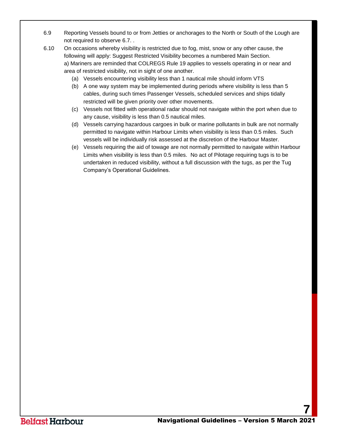- 6.9 Reporting Vessels bound to or from Jetties or anchorages to the North or South of the Lough are not required to observe 6.7. .
- 6.10 On occasions whereby visibility is restricted due to fog, mist, snow or any other cause, the following will apply: Suggest Restricted Visibility becomes a numbered Main Section. a) Mariners are reminded that COLREGS Rule 19 applies to vessels operating in or near and area of restricted visibility, not in sight of one another.
	- (a) Vessels encountering visibility less than 1 nautical mile should inform VTS
	- (b) A one way system may be implemented during periods where visibility is less than 5 cables, during such times Passenger Vessels, scheduled services and ships tidally restricted will be given priority over other movements.
	- (c) Vessels not fitted with operational radar should not navigate within the port when due to any cause, visibility is less than 0.5 nautical miles.
	- (d) Vessels carrying hazardous cargoes in bulk or marine pollutants in bulk are not normally permitted to navigate within Harbour Limits when visibility is less than 0.5 miles. Such vessels will be individually risk assessed at the discretion of the Harbour Master.
	- (e) Vessels requiring the aid of towage are not normally permitted to navigate within Harbour Limits when visibility is less than 0.5 miles. No act of Pilotage requiring tugs is to be undertaken in reduced visibility, without a full discussion with the tugs, as per the Tug Company's Operational Guidelines.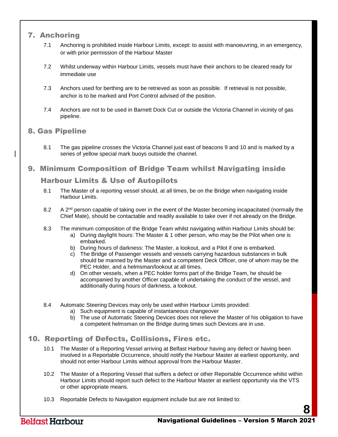# <span id="page-8-0"></span>7. Anchoring

- 7.1 Anchoring is prohibited inside Harbour Limits, except: to assist with manoeuvring, in an emergency, or with prior permission of the Harbour Master
- 7.2 Whilst underway within Harbour Limits, vessels must have their anchors to be cleared ready for immediate use
- 7.3 Anchors used for berthing are to be retrieved as soon as possible. If retrieval is not possible, anchor is to be marked and Port Control advised of the position.
- 7.4 Anchors are not to be used in Barnett Dock Cut or outside the Victoria Channel in vicinity of gas pipeline.

# <span id="page-8-1"></span>8. Gas Pipeline

8.1 The gas pipeline crosses the Victoria Channel just east of beacons 9 and 10 and is marked by a series of yellow special mark buoys outside the channel.

# <span id="page-8-2"></span>9. Minimum Composition of Bridge Team whilst Navigating inside

#### Harbour Limits & Use of Autopilots

- 8.1 The Master of a reporting vessel should, at all times, be on the Bridge when navigating inside Harbour Limits.
- 8.2 A 2<sup>nd</sup> person capable of taking over in the event of the Master becoming incapacitated (normally the Chief Mate), should be contactable and readily available to take over if not already on the Bridge.
- 8.3 The minimum composition of the Bridge Team whilst navigating within Harbour Limits should be:
	- a) During daylight hours: The Master & 1 other person, who may be the Pilot when one is embarked.
	- b) During hours of darkness: The Master, a lookout, and a Pilot if one is embarked.
	- c) The Bridge of Passenger vessels and vessels carrying hazardous substances in bulk should be manned by the Master and a competent Deck Officer, one of whom may be the PEC Holder, and a helmsman/lookout at all times.
	- d) On other vessels, when a PEC holder forms part of the Bridge Team, he should be accompanied by another Officer capable of undertaking the conduct of the vessel, and additionally during hours of darkness, a lookout.
- 8.4 Automatic Steering Devices may only be used within Harbour Limits provided:
	- a) Such equipment is capable of instantaneous changeover
	- b) The use of Automatic Steering Devices does not relieve the Master of his obligation to have a competent helmsman on the Bridge during times such Devices are in use.

# <span id="page-8-3"></span>10. Reporting of Defects, Collisions, Fires etc.

- 10.1 The Master of a Reporting Vessel arriving at Belfast Harbour having any defect or having been involved in a Reportable Occurrence, should notify the Harbour Master at earliest opportunity, and should not enter Harbour Limits without approval from the Harbour Master.
- 10.2 The Master of a Reporting Vessel that suffers a defect or other Reportable Occurrence whilst within Harbour Limits should report such defect to the Harbour Master at earliest opportunity via the VTS or other appropriate means.
- 10.3 Reportable Defects to Navigation equipment include but are not limited to: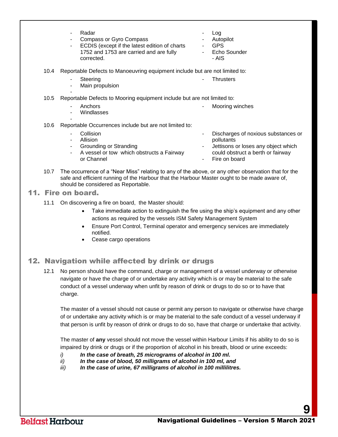|      | Radar<br>۰<br><b>Compass or Gyro Compass</b><br>٠<br>ECDIS (except if the latest edition of charts<br>٠<br>1752 and 1753 are carried and are fully<br>corrected. | -<br>-<br>$\blacksquare$ | Log<br>Autopilot<br><b>GPS</b><br>Echo Sounder<br>- AIS |
|------|------------------------------------------------------------------------------------------------------------------------------------------------------------------|--------------------------|---------------------------------------------------------|
| 10.4 | Reportable Defects to Manoeuvring equipment include but are not limited to:                                                                                      |                          |                                                         |
|      | Steering<br>Main propulsion<br>۰                                                                                                                                 |                          | <b>Thrusters</b>                                        |
| 10.5 | Reportable Defects to Mooring equipment include but are not limited to:                                                                                          |                          |                                                         |
|      | Anchors<br>۰<br>Windlasses<br>۰                                                                                                                                  | ۰                        | Mooring winches                                         |
| 10.6 | Reportable Occurrences include but are not limited to:                                                                                                           |                          |                                                         |
|      |                                                                                                                                                                  |                          |                                                         |

- Collision **Allision** Grounding or Stranding A vessel or tow which obstructs a Fairway or Channel Discharges of noxious substances or pollutants Jettisons or loses any object which could obstruct a berth or fairway Fire on board
- 10.7 The occurrence of a "Near Miss" relating to any of the above, or any other observation that for the safe and efficient running of the Harbour that the Harbour Master ought to be made aware of, should be considered as Reportable.

<span id="page-9-0"></span>11. Fire on board.

- 11.1 On discovering a fire on board, the Master should:
	- Take immediate action to extinguish the fire using the ship's equipment and any other actions as required by the vessels ISM Safety Management System
	- Ensure Port Control, Terminal operator and emergency services are immediately notified.
	- Cease cargo operations

# <span id="page-9-1"></span>12. Navigation while affected by drink or drugs

12.1 No person should have the command, charge or management of a vessel underway or otherwise navigate or have the charge of or undertake any activity which is or may be material to the safe conduct of a vessel underway when unfit by reason of drink or drugs to do so or to have that charge.

The master of a vessel should not cause or permit any person to navigate or otherwise have charge of or undertake any activity which is or may be material to the safe conduct of a vessel underway if that person is unfit by reason of drink or drugs to do so, have that charge or undertake that activity.

The master of **any** vessel should not move the vessel within Harbour Limits if his ability to do so is impaired by drink or drugs or if the proportion of alcohol in his breath, blood or urine exceeds:

- *i) In the case of breath, 25 micrograms of alcohol in 100 ml.*
- *ii) In the case of blood, 50 milligrams of alcohol in 100 ml, and*
- <span id="page-9-2"></span>*iii) In the case of urine, 67 milligrams of alcohol in 100 millilitres.*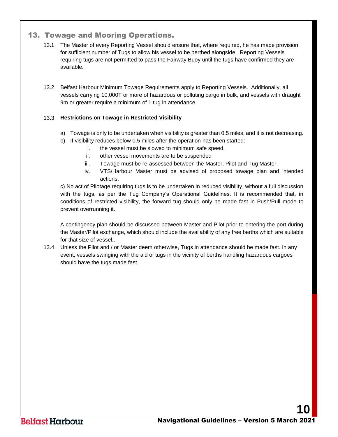# 13. Towage and Mooring Operations.

- 13.1 The Master of every Reporting Vessel should ensure that, where required, he has made provision for sufficient number of Tugs to allow his vessel to be berthed alongside. Reporting Vessels requiring tugs are not permitted to pass the Fairway Buoy until the tugs have confirmed they are available.
- 13.2 Belfast Harbour Minimum Towage Requirements apply to Reporting Vessels. Additionally, all vessels carrying 10,000T or more of hazardous or polluting cargo in bulk, and vessels with draught 9m or greater require a minimum of 1 tug in attendance.

#### 13.3 **Restrictions on Towage in Restricted Visibility**

- a) Towage is only to be undertaken when visibility is greater than 0.5 miles, and it is not decreasing.
- b) If visibility reduces below 0.5 miles after the operation has been started:
	- i. the vessel must be slowed to minimum safe speed,
	- ii. other vessel movements are to be suspended
	- iii. Towage must be re-assessed between the Master, Pilot and Tug Master.
	- iv. VTS/Harbour Master must be advised of proposed towage plan and intended actions.

c) No act of Pilotage requiring tugs is to be undertaken in reduced visibility, without a full discussion with the tugs, as per the Tug Company's Operational Guidelines. It is recommended that, in conditions of restricted visibility, the forward tug should only be made fast in Push/Pull mode to prevent overrunning it.

A contingency plan should be discussed between Master and Pilot prior to entering the port during the Master/Pilot exchange, which should include the availability of any free berths which are suitable for that size of vessel..

13.4 Unless the Pilot and / or Master deem otherwise, Tugs in attendance should be made fast. In any event, vessels swinging with the aid of tugs in the vicinity of berths handling hazardous cargoes should have the tugs made fast.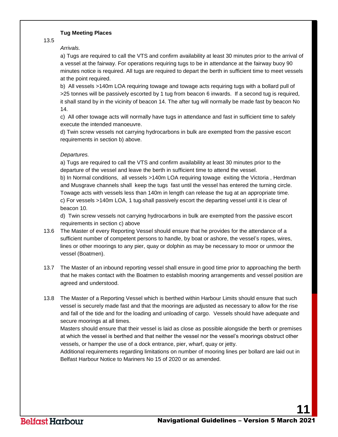#### **Tug Meeting Places**

13.5

#### *Arrivals.*

a) Tugs are required to call the VTS and confirm availability at least 30 minutes prior to the arrival of a vessel at the fairway. For operations requiring tugs to be in attendance at the fairway buoy 90 minutes notice is required. All tugs are required to depart the berth in sufficient time to meet vessels at the point required.

b) All vessels >140m LOA requiring towage and towage acts requiring tugs with a bollard pull of >25 tonnes will be passively escorted by 1 tug from beacon 6 inwards. If a second tug is required, it shall stand by in the vicinity of beacon 14. The after tug will normally be made fast by beacon No 14.

c) All other towage acts will normally have tugs in attendance and fast in sufficient time to safely execute the intended manoeuvre.

d) Twin screw vessels not carrying hydrocarbons in bulk are exempted from the passive escort requirements in section b) above.

#### *Departures.*

a) Tugs are required to call the VTS and confirm availability at least 30 minutes prior to the departure of the vessel and leave the berth in sufficient time to attend the vessel.

b) In Normal conditions, all vessels >140m LOA requiring towage exiting the Victoria , Herdman and Musgrave channels shall keep the tugs fast until the vessel has entered the turning circle. Towage acts with vessels less than 140m in length can release the tug at an appropriate time. c) For vessels >140m LOA, 1 tug-shall passively escort the departing vessel until it is clear of beacon 10.

d) Twin screw vessels not carrying hydrocarbons in bulk are exempted from the passive escort requirements in section c) above

- 13.6 The Master of every Reporting Vessel should ensure that he provides for the attendance of a sufficient number of competent persons to handle, by boat or ashore, the vessel's ropes, wires, lines or other moorings to any pier, quay or dolphin as may be necessary to moor or unmoor the vessel (Boatmen).
- 13.7 The Master of an inbound reporting vessel shall ensure in good time prior to approaching the berth that he makes contact with the Boatmen to establish mooring arrangements and vessel position are agreed and understood.
- 13.8 The Master of a Reporting Vessel which is berthed within Harbour Limits should ensure that such vessel is securely made fast and that the moorings are adjusted as necessary to allow for the rise and fall of the tide and for the loading and unloading of cargo. Vessels should have adequate and secure moorings at all times.

Masters should ensure that their vessel is laid as close as possible alongside the berth or premises at which the vessel is berthed and that neither the vessel nor the vessel's moorings obstruct other vessels, or hamper the use of a dock entrance, pier, wharf, quay or jetty.

Additional requirements regarding limitations on number of mooring lines per bollard are laid out in Belfast Harbour Notice to Mariners No 15 of 2020 or as amended.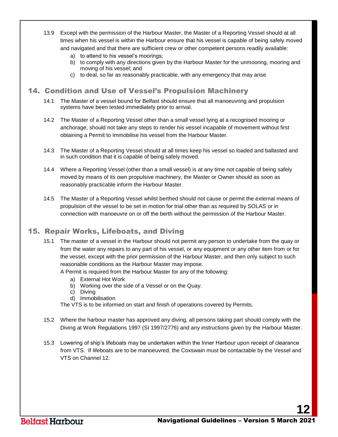- 13.9 Except with the permission of the Harbour Master, the Master of a Reporting Vessel should at all times when his vessel is within the Harbour ensure that his vessel is capable of being safely moved and navigated and that there are sufficient crew or other competent persons readily available:
	- a) to attend to his vessel's moorings;
	- b) to comply with any directions given by the Harbour Master for the unmooring, mooring and moving of his vessel; and
	- c) to deal, so far as reasonably practicable, with any emergency that may arise

# <span id="page-12-0"></span>14. Condition and Use of Vessel's Propulsion Machinery

- 14.1 The Master of a vessel bound for Belfast should ensure that all manoeuvring and propulsion systems have been tested immediately prior to arrival.
- 14.2 The Master of a Reporting Vessel other than a small vessel lying at a recognised mooring or anchorage, should not take any steps to render his vessel incapable of movement without first obtaining a Permit to Immobilise his vessel from the Harbour Master.
- 14.3 The Master of a Reporting Vessel should at all times keep his vessel so loaded and ballasted and in such condition that it is capable of being safely moved.
- 14.4 Where a Reporting Vessel (other than a small vessel) is at any time not capable of being safely moved by means of its own propulsive machinery, the Master or Owner should as soon as reasonably practicable inform the Harbour Master.
- 14.5 The Master of a Reporting Vessel whilst berthed should not cause or permit the external means of propulsion of the vessel to be set in motion for trial other than as required by SOLAS or in connection with manoeuvre on or off the berth without the permission of the Harbour Master.

# <span id="page-12-1"></span>15. Repair Works, Lifeboats, and Diving

- 15.1 The master of a vessel in the Harbour should not permit any person to undertake from the quay or from the water any repairs to any part of his vessel, or any equipment or any other item from or for the vessel, except with the prior permission of the Harbour Master, and then only subject to such reasonable conditions as the Harbour Master may impose.
	- A Permit is required from the Harbour Master for any of the following:
		- a) External Hot Work
		- b) Working over the side of a Vessel or on the Quay.
		- c) Diving
		- d) Immobilisation

The VTS is to be informed on start and finish of operations covered by Permits.

- 15.2 Where the harbour master has approved any diving, all persons taking part should comply with the Diving at Work Regulations 1997 (SI 1997/2776) and any instructions given by the Harbour Master.
- 15.3 Lowering of ship's lifeboats may be undertaken within the Inner Harbour upon receipt of clearance from VTS. If lifeboats are to be manoeuvred, the Coxswain must be contactable by the Vessel and VTS on Channel 12.